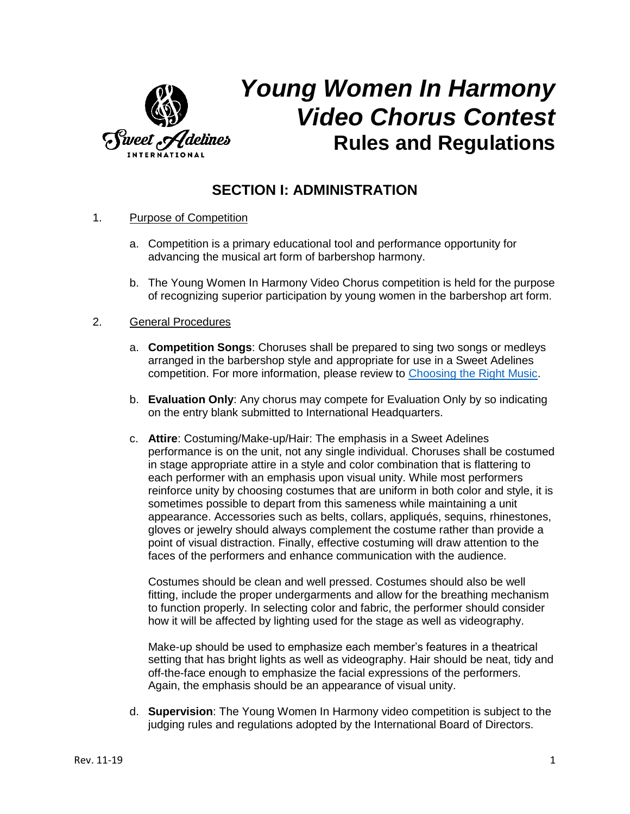

# *Young Women In Harmony Video Chorus Contest* **Rules and Regulations**

## **SECTION I: ADMINISTRATION**

- 1. Purpose of Competition
	- a. Competition is a primary educational tool and performance opportunity for advancing the musical art form of barbershop harmony.
	- b. The Young Women In Harmony Video Chorus competition is held for the purpose of recognizing superior participation by young women in the barbershop art form.

#### 2. General Procedures

- a. **Competition Songs**: Choruses shall be prepared to sing two songs or medleys arranged in the barbershop style and appropriate for use in a Sweet Adelines competition. For more information, please review to [Choosing the Right Music.](https://sweetadelines.com/sites/default/files/Events/YWIH_Video_Chorus_Contest/Choosing-The-Right-Music_2022-Rising-Star_YWIH-Video-Chorus-Contest.pdf)
- b. **Evaluation Only**: Any chorus may compete for Evaluation Only by so indicating on the entry blank submitted to International Headquarters.
- c. **Attire**: Costuming/Make-up/Hair: The emphasis in a Sweet Adelines performance is on the unit, not any single individual. Choruses shall be costumed in stage appropriate attire in a style and color combination that is flattering to each performer with an emphasis upon visual unity. While most performers reinforce unity by choosing costumes that are uniform in both color and style, it is sometimes possible to depart from this sameness while maintaining a unit appearance. Accessories such as belts, collars, appliqués, sequins, rhinestones, gloves or jewelry should always complement the costume rather than provide a point of visual distraction. Finally, effective costuming will draw attention to the faces of the performers and enhance communication with the audience.

Costumes should be clean and well pressed. Costumes should also be well fitting, include the proper undergarments and allow for the breathing mechanism to function properly. In selecting color and fabric, the performer should consider how it will be affected by lighting used for the stage as well as videography.

Make-up should be used to emphasize each member's features in a theatrical setting that has bright lights as well as videography. Hair should be neat, tidy and off-the-face enough to emphasize the facial expressions of the performers. Again, the emphasis should be an appearance of visual unity.

d. **Supervision**: The Young Women In Harmony video competition is subject to the judging rules and regulations adopted by the International Board of Directors.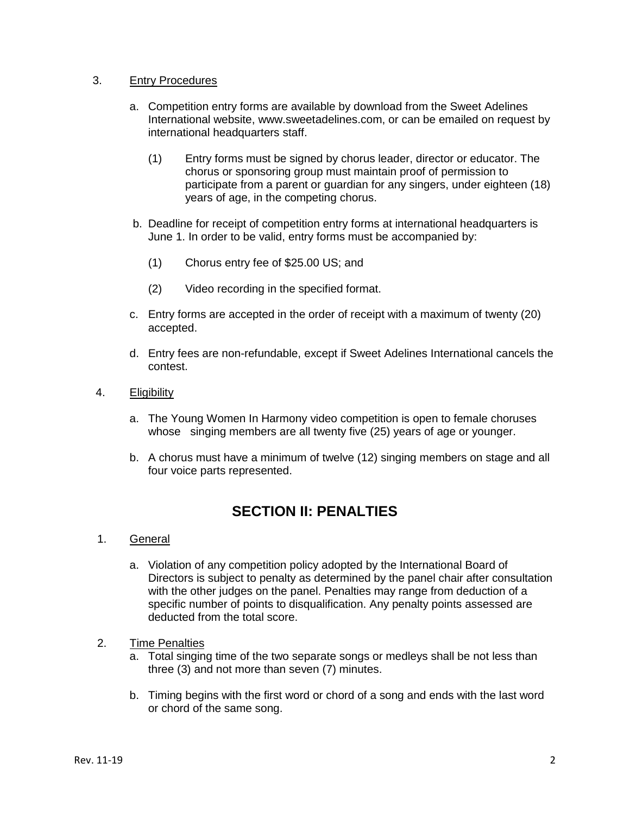#### 3. Entry Procedures

- a. Competition entry forms are available by download from the Sweet Adelines International website, www.sweetadelines.com, or can be emailed on request by international headquarters staff.
	- (1) Entry forms must be signed by chorus leader, director or educator. The chorus or sponsoring group must maintain proof of permission to participate from a parent or guardian for any singers, under eighteen (18) years of age, in the competing chorus.
- b. Deadline for receipt of competition entry forms at international headquarters is June 1. In order to be valid, entry forms must be accompanied by:
	- (1) Chorus entry fee of \$25.00 US; and
	- (2) Video recording in the specified format.
- c. Entry forms are accepted in the order of receipt with a maximum of twenty (20) accepted.
- d. Entry fees are non-refundable, except if Sweet Adelines International cancels the contest.

#### 4. Eligibility

- a. The Young Women In Harmony video competition is open to female choruses whose singing members are all twenty five (25) years of age or younger.
- b. A chorus must have a minimum of twelve (12) singing members on stage and all four voice parts represented.

## **SECTION II: PENALTIES**

- 1. General
	- a. Violation of any competition policy adopted by the International Board of Directors is subject to penalty as determined by the panel chair after consultation with the other judges on the panel. Penalties may range from deduction of a specific number of points to disqualification. Any penalty points assessed are deducted from the total score.
- 2. Time Penalties
	- a. Total singing time of the two separate songs or medleys shall be not less than three (3) and not more than seven (7) minutes.
	- b. Timing begins with the first word or chord of a song and ends with the last word or chord of the same song.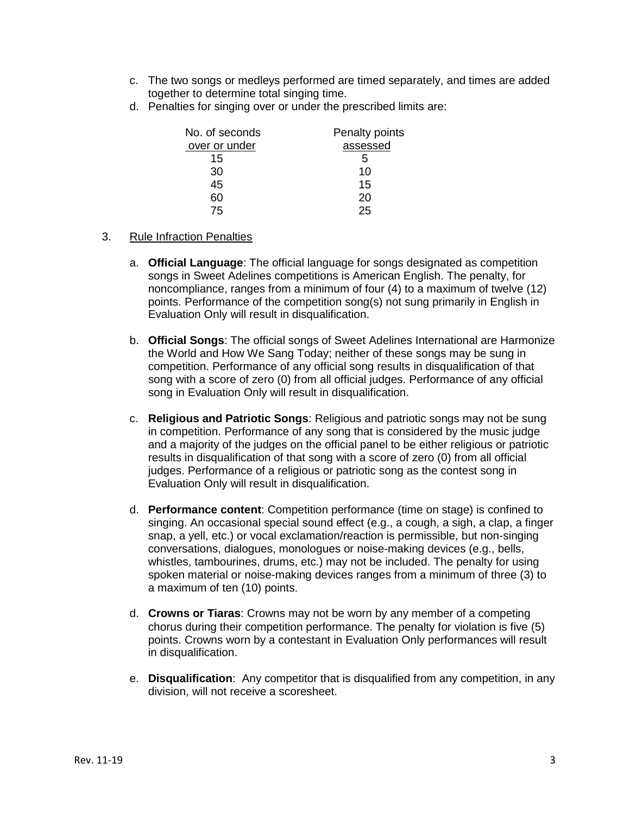- c. The two songs or medleys performed are timed separately, and times are added together to determine total singing time.
- d. Penalties for singing over or under the prescribed limits are:

| No. of seconds | Penalty points |
|----------------|----------------|
| over or under  | assessed       |
| 15             | 5              |
| 30             | 10             |
| 45             | 15             |
| 60             | 20             |
| 75             | 25             |

- 3. Rule Infraction Penalties
	- a. **Official Language**: The official language for songs designated as competition songs in Sweet Adelines competitions is American English. The penalty, for noncompliance, ranges from a minimum of four (4) to a maximum of twelve (12) points. Performance of the competition song(s) not sung primarily in English in Evaluation Only will result in disqualification.
	- b. **Official Songs**: The official songs of Sweet Adelines International are Harmonize the World and How We Sang Today; neither of these songs may be sung in competition. Performance of any official song results in disqualification of that song with a score of zero (0) from all official judges. Performance of any official song in Evaluation Only will result in disqualification.
	- c. **Religious and Patriotic Songs**: Religious and patriotic songs may not be sung in competition. Performance of any song that is considered by the music judge and a majority of the judges on the official panel to be either religious or patriotic results in disqualification of that song with a score of zero (0) from all official judges. Performance of a religious or patriotic song as the contest song in Evaluation Only will result in disqualification.
	- d. **Performance content**: Competition performance (time on stage) is confined to singing. An occasional special sound effect (e.g., a cough, a sigh, a clap, a finger snap, a yell, etc.) or vocal exclamation/reaction is permissible, but non-singing conversations, dialogues, monologues or noise-making devices (e.g., bells, whistles, tambourines, drums, etc.) may not be included. The penalty for using spoken material or noise-making devices ranges from a minimum of three (3) to a maximum of ten (10) points.
	- d. **Crowns or Tiaras**: Crowns may not be worn by any member of a competing chorus during their competition performance. The penalty for violation is five (5) points. Crowns worn by a contestant in Evaluation Only performances will result in disqualification.
	- e. **Disqualification**: Any competitor that is disqualified from any competition, in any division, will not receive a scoresheet.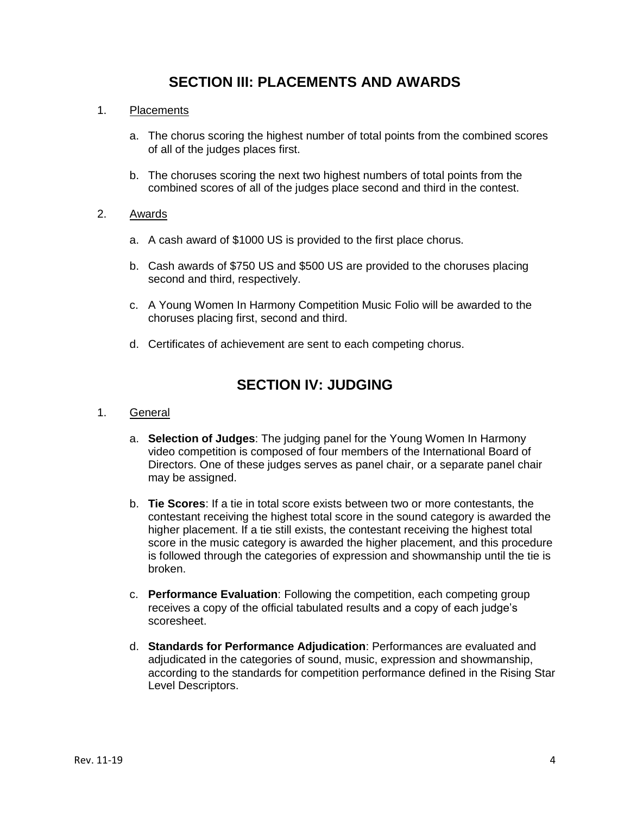## **SECTION III: PLACEMENTS AND AWARDS**

#### 1. Placements

- a. The chorus scoring the highest number of total points from the combined scores of all of the judges places first.
- b. The choruses scoring the next two highest numbers of total points from the combined scores of all of the judges place second and third in the contest.

#### 2. Awards

- a. A cash award of \$1000 US is provided to the first place chorus.
- b. Cash awards of \$750 US and \$500 US are provided to the choruses placing second and third, respectively.
- c. A Young Women In Harmony Competition Music Folio will be awarded to the choruses placing first, second and third.
- d. Certificates of achievement are sent to each competing chorus.

## **SECTION IV: JUDGING**

- 1. General
	- a. **Selection of Judges**: The judging panel for the Young Women In Harmony video competition is composed of four members of the International Board of Directors. One of these judges serves as panel chair, or a separate panel chair may be assigned.
	- b. **Tie Scores**: If a tie in total score exists between two or more contestants, the contestant receiving the highest total score in the sound category is awarded the higher placement. If a tie still exists, the contestant receiving the highest total score in the music category is awarded the higher placement, and this procedure is followed through the categories of expression and showmanship until the tie is broken.
	- c. **Performance Evaluation**: Following the competition, each competing group receives a copy of the official tabulated results and a copy of each judge's scoresheet.
	- d. **Standards for Performance Adjudication**: Performances are evaluated and adjudicated in the categories of sound, music, expression and showmanship, according to the standards for competition performance defined in the Rising Star Level Descriptors.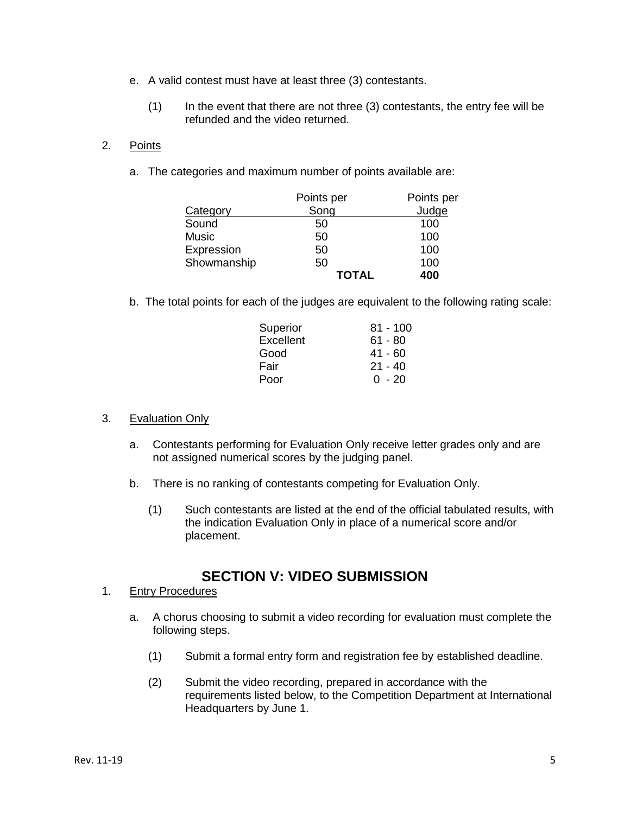- e. A valid contest must have at least three (3) contestants.
	- (1) In the event that there are not three (3) contestants, the entry fee will be refunded and the video returned.
- 2. Points
	- a. The categories and maximum number of points available are:

|             | Points per   | Points per |
|-------------|--------------|------------|
| Category    | Song         | Judge      |
| Sound       | 50           | 100        |
| Music       | 50           | 100        |
| Expression  | 50           | 100        |
| Showmanship | 50           | 100        |
|             | <b>TOTAL</b> | 400        |

b. The total points for each of the judges are equivalent to the following rating scale:

| Superior  | $81 - 100$ |
|-----------|------------|
| Excellent | $61 - 80$  |
| Good      | $41 - 60$  |
| Fair      | $21 - 40$  |
| Poor      | ი - 20     |
|           |            |

#### 3. Evaluation Only

- a. Contestants performing for Evaluation Only receive letter grades only and are not assigned numerical scores by the judging panel.
- b. There is no ranking of contestants competing for Evaluation Only.
	- (1) Such contestants are listed at the end of the official tabulated results, with the indication Evaluation Only in place of a numerical score and/or placement.

## **SECTION V: VIDEO SUBMISSION**

- 1. Entry Procedures
	- a. A chorus choosing to submit a video recording for evaluation must complete the following steps.
		- (1) Submit a formal entry form and registration fee by established deadline.
		- (2) Submit the video recording, prepared in accordance with the requirements listed below, to the Competition Department at International Headquarters by June 1.